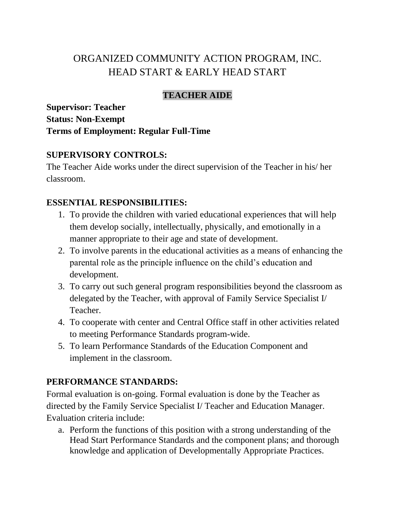# ORGANIZED COMMUNITY ACTION PROGRAM, INC. HEAD START & EARLY HEAD START

## **TEACHER AIDE**

**Supervisor: Teacher Status: Non-Exempt Terms of Employment: Regular Full-Time**

### **SUPERVISORY CONTROLS:**

The Teacher Aide works under the direct supervision of the Teacher in his/ her classroom.

## **ESSENTIAL RESPONSIBILITIES:**

- 1. To provide the children with varied educational experiences that will help them develop socially, intellectually, physically, and emotionally in a manner appropriate to their age and state of development.
- 2. To involve parents in the educational activities as a means of enhancing the parental role as the principle influence on the child's education and development.
- 3. To carry out such general program responsibilities beyond the classroom as delegated by the Teacher, with approval of Family Service Specialist I/ Teacher.
- 4. To cooperate with center and Central Office staff in other activities related to meeting Performance Standards program-wide.
- 5. To learn Performance Standards of the Education Component and implement in the classroom.

## **PERFORMANCE STANDARDS:**

Formal evaluation is on-going. Formal evaluation is done by the Teacher as directed by the Family Service Specialist I/ Teacher and Education Manager. Evaluation criteria include:

a. Perform the functions of this position with a strong understanding of the Head Start Performance Standards and the component plans; and thorough knowledge and application of Developmentally Appropriate Practices.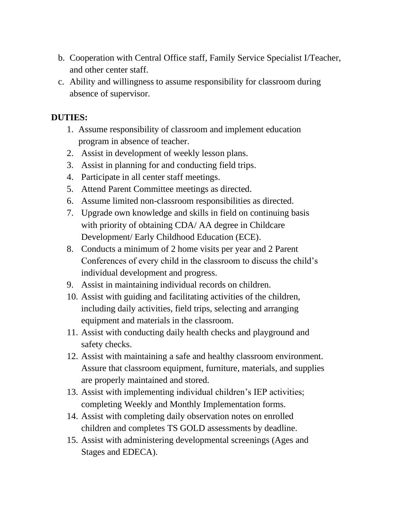- b. Cooperation with Central Office staff, Family Service Specialist I/Teacher, and other center staff.
- c. Ability and willingness to assume responsibility for classroom during absence of supervisor.

## **DUTIES:**

- 1. Assume responsibility of classroom and implement education program in absence of teacher.
- 2. Assist in development of weekly lesson plans.
- 3. Assist in planning for and conducting field trips.
- 4. Participate in all center staff meetings.
- 5. Attend Parent Committee meetings as directed.
- 6. Assume limited non-classroom responsibilities as directed.
- 7. Upgrade own knowledge and skills in field on continuing basis with priority of obtaining CDA/ AA degree in Childcare Development/ Early Childhood Education (ECE).
- 8. Conducts a minimum of 2 home visits per year and 2 Parent Conferences of every child in the classroom to discuss the child's individual development and progress.
- 9. Assist in maintaining individual records on children.
- 10. Assist with guiding and facilitating activities of the children, including daily activities, field trips, selecting and arranging equipment and materials in the classroom.
- 11. Assist with conducting daily health checks and playground and safety checks.
- 12. Assist with maintaining a safe and healthy classroom environment. Assure that classroom equipment, furniture, materials, and supplies are properly maintained and stored.
- 13. Assist with implementing individual children's IEP activities; completing Weekly and Monthly Implementation forms.
- 14. Assist with completing daily observation notes on enrolled children and completes TS GOLD assessments by deadline.
- 15. Assist with administering developmental screenings (Ages and Stages and EDECA).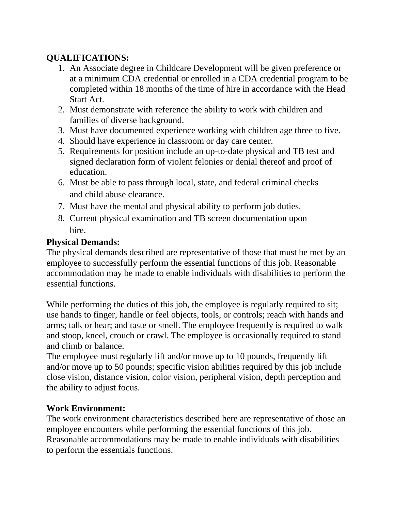## **QUALIFICATIONS:**

- 1. An Associate degree in Childcare Development will be given preference or at a minimum CDA credential or enrolled in a CDA credential program to be completed within 18 months of the time of hire in accordance with the Head Start Act.
- 2. Must demonstrate with reference the ability to work with children and families of diverse background.
- 3. Must have documented experience working with children age three to five.
- 4. Should have experience in classroom or day care center.
- 5. Requirements for position include an up-to-date physical and TB test and signed declaration form of violent felonies or denial thereof and proof of education.
- 6. Must be able to pass through local, state, and federal criminal checks and child abuse clearance.
- 7. Must have the mental and physical ability to perform job duties.
- 8. Current physical examination and TB screen documentation upon hire.

## **Physical Demands:**

The physical demands described are representative of those that must be met by an employee to successfully perform the essential functions of this job. Reasonable accommodation may be made to enable individuals with disabilities to perform the essential functions.

While performing the duties of this job, the employee is regularly required to sit; use hands to finger, handle or feel objects, tools, or controls; reach with hands and arms; talk or hear; and taste or smell. The employee frequently is required to walk and stoop, kneel, crouch or crawl. The employee is occasionally required to stand and climb or balance.

The employee must regularly lift and/or move up to 10 pounds, frequently lift and/or move up to 50 pounds; specific vision abilities required by this job include close vision, distance vision, color vision, peripheral vision, depth perception and the ability to adjust focus.

### **Work Environment:**

The work environment characteristics described here are representative of those an employee encounters while performing the essential functions of this job. Reasonable accommodations may be made to enable individuals with disabilities to perform the essentials functions.